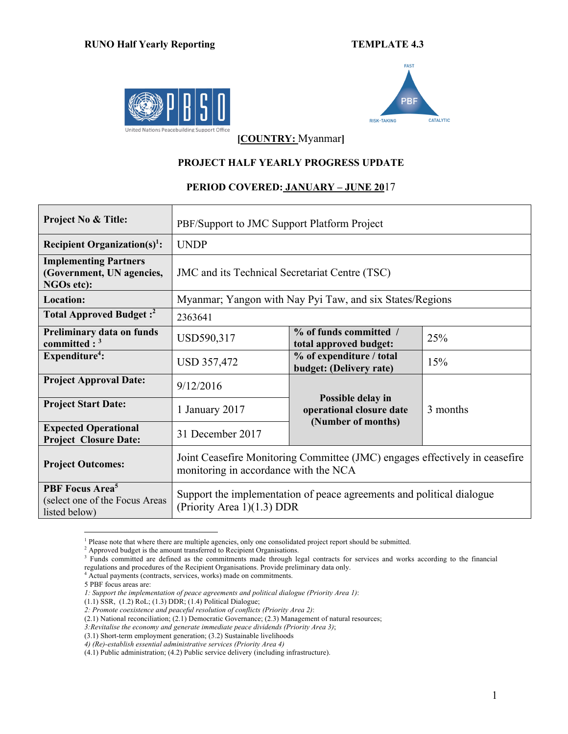



**[COUNTRY:** Myanmar**]**

## **PROJECT HALF YEARLY PROGRESS UPDATE**

## **PERIOD COVERED: JANUARY – JUNE 20**17

| <b>Project No &amp; Title:</b>                                                 | PBF/Support to JMC Support Platform Project                                                                          |                                                                     |          |  |  |
|--------------------------------------------------------------------------------|----------------------------------------------------------------------------------------------------------------------|---------------------------------------------------------------------|----------|--|--|
| <b>Recipient Organization(s)<sup>1</sup></b> :                                 | <b>UNDP</b>                                                                                                          |                                                                     |          |  |  |
| <b>Implementing Partners</b><br>(Government, UN agencies,<br>NGOs etc):        | JMC and its Technical Secretariat Centre (TSC)                                                                       |                                                                     |          |  |  |
| <b>Location:</b>                                                               |                                                                                                                      | Myanmar; Yangon with Nay Pyi Taw, and six States/Regions            |          |  |  |
| Total Approved Budget: <sup>2</sup>                                            | 2363641                                                                                                              |                                                                     |          |  |  |
| Preliminary data on funds<br>committed : $3$                                   | USD590,317                                                                                                           | % of funds committed /<br>total approved budget:                    | 25%      |  |  |
| Expenditur <sup>4</sup> :                                                      | USD 357,472                                                                                                          | % of expenditure / total<br>budget: (Delivery rate)                 | 15%      |  |  |
| <b>Project Approval Date:</b>                                                  | 9/12/2016                                                                                                            |                                                                     |          |  |  |
| <b>Project Start Date:</b>                                                     | 1 January 2017                                                                                                       | Possible delay in<br>operational closure date<br>(Number of months) | 3 months |  |  |
| <b>Expected Operational</b><br><b>Project Closure Date:</b>                    | 31 December 2017                                                                                                     |                                                                     |          |  |  |
| <b>Project Outcomes:</b>                                                       | Joint Ceasefire Monitoring Committee (JMC) engages effectively in ceasefire<br>monitoring in accordance with the NCA |                                                                     |          |  |  |
| PBF Focus Area <sup>5</sup><br>(select one of the Focus Areas<br>listed below) | Support the implementation of peace agreements and political dialogue<br>(Priority Area $1(1.3)$ DDR                 |                                                                     |          |  |  |

<sup>&</sup>lt;sup>1</sup> Please note that where there are multiple agencies, only one consolidated project report should be submitted. <sup>2</sup> Approved budget is the amount transferred to Recipient Organisations.

<sup>&</sup>lt;sup>3</sup> Funds committed are defined as the commitments made through legal contracts for services and works according to the financial regulations and procedures of the Recipient Organisations. Provide preliminary data only.

 $4 \overline{^\text{4}}$  Actual payments (contracts, services, works) made on commitments.

<sup>5</sup> PBF focus areas are:

*<sup>1:</sup> Support the implementation of peace agreements and political dialogue (Priority Area 1)*:

<sup>(1.1)</sup> SSR, (1.2) RoL; (1.3) DDR; (1.4) Political Dialogue;

*<sup>2:</sup> Promote coexistence and peaceful resolution of conflicts (Priority Area 2)*:

<sup>(2.1)</sup> National reconciliation; (2.1) Democratic Governance; (2.3) Management of natural resources;

*<sup>3:</sup>Revitalise the economy and generate immediate peace dividends (Priority Area 3)*;

<sup>(3.1)</sup> Short-term employment generation; (3.2) Sustainable livelihoods

*<sup>4)</sup> (Re)-establish essential administrative services (Priority Area 4)*

<sup>(4.1)</sup> Public administration; (4.2) Public service delivery (including infrastructure).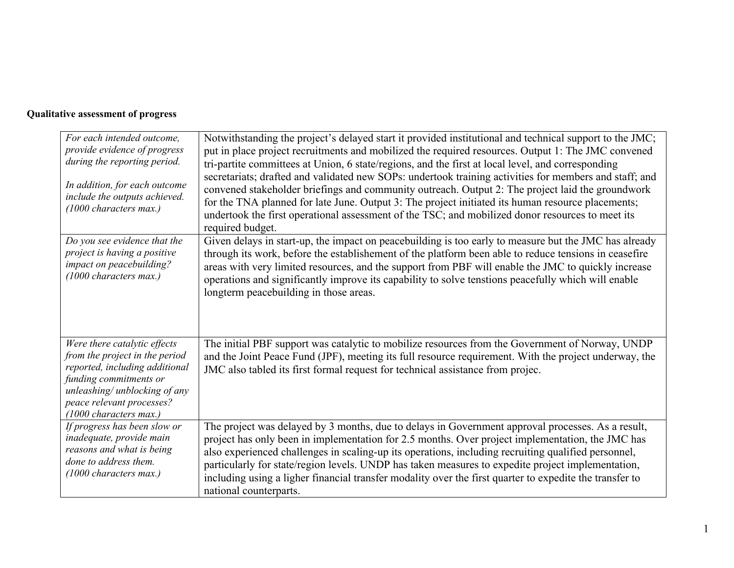## **Qualitative assessment of progress**

| For each intended outcome,<br>provide evidence of progress<br>during the reporting period.<br>In addition, for each outcome<br>include the outputs achieved.<br>$(1000$ characters max.)                           | Notwithstanding the project's delayed start it provided institutional and technical support to the JMC;<br>put in place project recruitments and mobilized the required resources. Output 1: The JMC convened<br>tri-partite committees at Union, 6 state/regions, and the first at local level, and corresponding<br>secretariats; drafted and validated new SOPs: undertook training activities for members and staff; and<br>convened stakeholder briefings and community outreach. Output 2: The project laid the groundwork<br>for the TNA planned for late June. Output 3: The project initiated its human resource placements;<br>undertook the first operational assessment of the TSC; and mobilized donor resources to meet its<br>required budget. |
|--------------------------------------------------------------------------------------------------------------------------------------------------------------------------------------------------------------------|---------------------------------------------------------------------------------------------------------------------------------------------------------------------------------------------------------------------------------------------------------------------------------------------------------------------------------------------------------------------------------------------------------------------------------------------------------------------------------------------------------------------------------------------------------------------------------------------------------------------------------------------------------------------------------------------------------------------------------------------------------------|
| Do you see evidence that the<br>project is having a positive<br>impact on peacebuilding?<br>(1000 characters max.)                                                                                                 | Given delays in start-up, the impact on peacebuilding is too early to measure but the JMC has already<br>through its work, before the establishement of the platform been able to reduce tensions in ceasefire<br>areas with very limited resources, and the support from PBF will enable the JMC to quickly increase<br>operations and significantly improve its capability to solve tenstions peacefully which will enable<br>longterm peacebuilding in those areas.                                                                                                                                                                                                                                                                                        |
| Were there catalytic effects<br>from the project in the period<br>reported, including additional<br>funding commitments or<br>unleashing/ unblocking of any<br>peace relevant processes?<br>(1000 characters max.) | The initial PBF support was catalytic to mobilize resources from the Government of Norway, UNDP<br>and the Joint Peace Fund (JPF), meeting its full resource requirement. With the project underway, the<br>JMC also tabled its first formal request for technical assistance from projec.                                                                                                                                                                                                                                                                                                                                                                                                                                                                    |
| If progress has been slow or<br>inadequate, provide main<br>reasons and what is being<br>done to address them.<br>$(1000$ characters max.)                                                                         | The project was delayed by 3 months, due to delays in Government approval processes. As a result,<br>project has only been in implementation for 2.5 months. Over project implementation, the JMC has<br>also experienced challenges in scaling-up its operations, including recruiting qualified personnel,<br>particularly for state/region levels. UNDP has taken measures to expedite project implementation,<br>including using a ligher financial transfer modality over the first quarter to expedite the transfer to<br>national counterparts.                                                                                                                                                                                                        |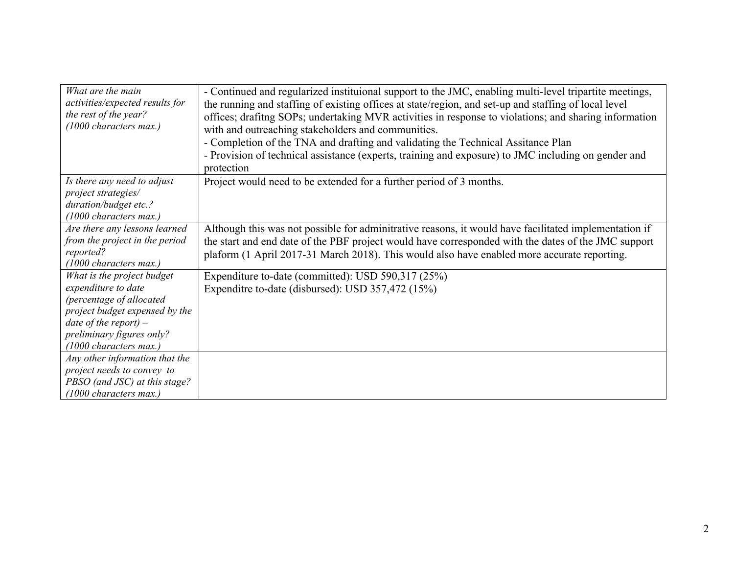| What are the main<br>activities/expected results for<br>the rest of the year?<br>(1000 characters max.) | - Continued and regularized instituional support to the JMC, enabling multi-level tripartite meetings,<br>the running and staffing of existing offices at state/region, and set-up and staffing of local level<br>offices; drafitng SOPs; undertaking MVR activities in response to violations; and sharing information<br>with and outreaching stakeholders and communities.<br>- Completion of the TNA and drafting and validating the Technical Assitance Plan<br>- Provision of technical assistance (experts, training and exposure) to JMC including on gender and<br>protection |
|---------------------------------------------------------------------------------------------------------|----------------------------------------------------------------------------------------------------------------------------------------------------------------------------------------------------------------------------------------------------------------------------------------------------------------------------------------------------------------------------------------------------------------------------------------------------------------------------------------------------------------------------------------------------------------------------------------|
| Is there any need to adjust<br>project strategies/                                                      | Project would need to be extended for a further period of 3 months.                                                                                                                                                                                                                                                                                                                                                                                                                                                                                                                    |
| duration/budget etc.?                                                                                   |                                                                                                                                                                                                                                                                                                                                                                                                                                                                                                                                                                                        |
| $(1000$ characters max.)                                                                                |                                                                                                                                                                                                                                                                                                                                                                                                                                                                                                                                                                                        |
| Are there any lessons learned<br>from the project in the period<br>reported?<br>(1000 characters max.)  | Although this was not possible for adminitrative reasons, it would have facilitated implementation if<br>the start and end date of the PBF project would have corresponded with the dates of the JMC support<br>plaform (1 April 2017-31 March 2018). This would also have enabled more accurate reporting.                                                                                                                                                                                                                                                                            |
| What is the project budget                                                                              | Expenditure to-date (committed): USD 590,317 (25%)                                                                                                                                                                                                                                                                                                                                                                                                                                                                                                                                     |
| expenditure to date                                                                                     | Expenditre to-date (disbursed): USD 357,472 (15%)                                                                                                                                                                                                                                                                                                                                                                                                                                                                                                                                      |
| (percentage of allocated                                                                                |                                                                                                                                                                                                                                                                                                                                                                                                                                                                                                                                                                                        |
| project budget expensed by the<br>date of the report) $-$                                               |                                                                                                                                                                                                                                                                                                                                                                                                                                                                                                                                                                                        |
| preliminary figures only?                                                                               |                                                                                                                                                                                                                                                                                                                                                                                                                                                                                                                                                                                        |
| (1000 characters max.)                                                                                  |                                                                                                                                                                                                                                                                                                                                                                                                                                                                                                                                                                                        |
| Any other information that the                                                                          |                                                                                                                                                                                                                                                                                                                                                                                                                                                                                                                                                                                        |
| project needs to convey to                                                                              |                                                                                                                                                                                                                                                                                                                                                                                                                                                                                                                                                                                        |
| PBSO (and JSC) at this stage?                                                                           |                                                                                                                                                                                                                                                                                                                                                                                                                                                                                                                                                                                        |
| $(1000$ characters max.)                                                                                |                                                                                                                                                                                                                                                                                                                                                                                                                                                                                                                                                                                        |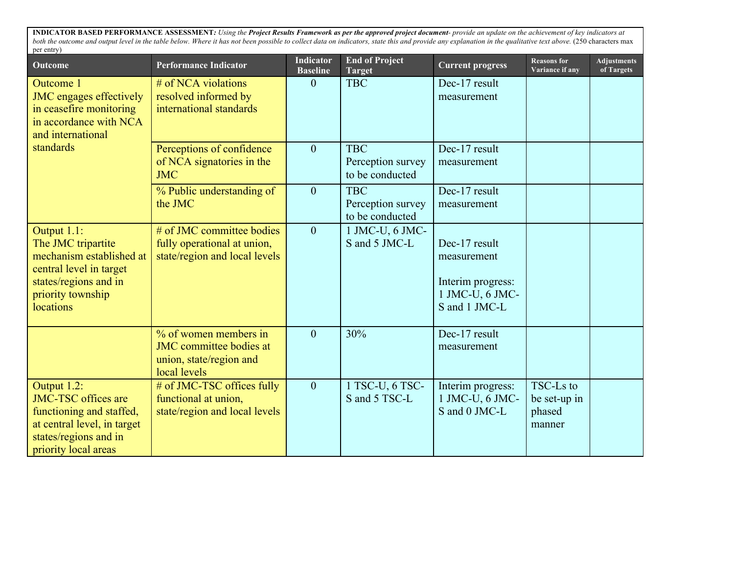**INDICATOR BASED PERFORMANCE ASSESSMENT***: Using the Project Results Framework as per the approved project document- provide an update on the achievement of key indicators at*  both the outcome and output level in the table below. Where it has not been possible to collect data on indicators, state this and provide any explanation in the qualitative text above. (250 characters max per entry)

| Outcome                                                                                                                                               | <b>Performance Indicator</b>                                                                       | <b>Indicator</b><br><b>Baseline</b> | <b>End of Project</b><br><b>Target</b>             | <b>Current progress</b>                                                               | <b>Reasons for</b><br>Variance if any         | <b>Adjustments</b><br>of Targets |
|-------------------------------------------------------------------------------------------------------------------------------------------------------|----------------------------------------------------------------------------------------------------|-------------------------------------|----------------------------------------------------|---------------------------------------------------------------------------------------|-----------------------------------------------|----------------------------------|
| Outcome 1<br><b>JMC</b> engages effectively<br>in ceasefire monitoring<br>in accordance with NCA<br>and international                                 | # of NCA violations<br>resolved informed by<br>international standards                             | $\theta$                            | <b>TBC</b>                                         | Dec-17 result<br>measurement                                                          |                                               |                                  |
| standards                                                                                                                                             | Perceptions of confidence<br>of NCA signatories in the<br><b>JMC</b>                               | $\overline{0}$                      | <b>TBC</b><br>Perception survey<br>to be conducted | Dec-17 result<br>measurement                                                          |                                               |                                  |
|                                                                                                                                                       | % Public understanding of<br>the JMC                                                               | $\overline{0}$                      | <b>TBC</b><br>Perception survey<br>to be conducted | Dec-17 result<br>measurement                                                          |                                               |                                  |
| Output 1.1:<br>The JMC tripartite<br>mechanism established at<br>central level in target<br>states/regions and in<br>priority township<br>locations   | # of JMC committee bodies<br>fully operational at union,<br>state/region and local levels          | $\overline{0}$                      | 1 JMC-U, 6 JMC-<br>S and 5 JMC-L                   | Dec-17 result<br>measurement<br>Interim progress:<br>1 JMC-U, 6 JMC-<br>S and 1 JMC-L |                                               |                                  |
|                                                                                                                                                       | % of women members in<br><b>JMC</b> committee bodies at<br>union, state/region and<br>local levels | $\theta$                            | 30%                                                | Dec-17 result<br>measurement                                                          |                                               |                                  |
| Output 1.2:<br><b>JMC-TSC</b> offices are<br>functioning and staffed,<br>at central level, in target<br>states/regions and in<br>priority local areas | # of JMC-TSC offices fully<br>functional at union,<br>state/region and local levels                | $\overline{0}$                      | 1 TSC-U, 6 TSC-<br>S and 5 TSC-L                   | Interim progress:<br>1 JMC-U, 6 JMC-<br>S and 0 JMC-L                                 | TSC-Ls to<br>be set-up in<br>phased<br>manner |                                  |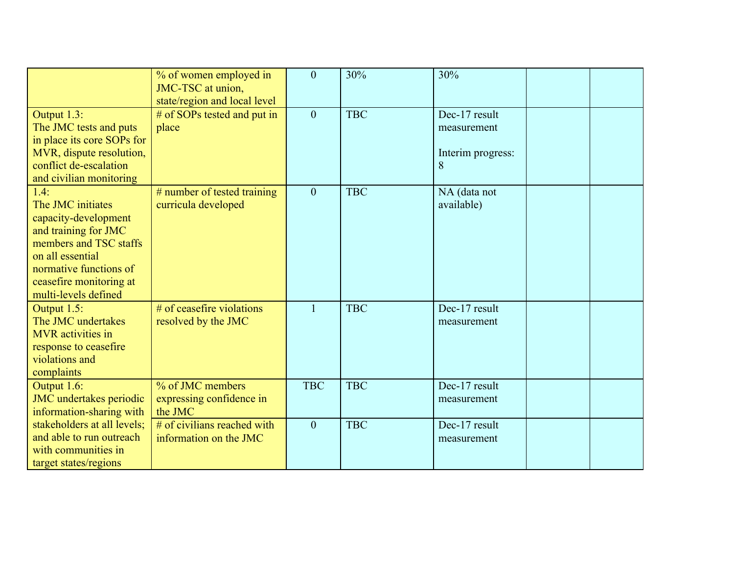|                                                                                                                                                                                                      | % of women employed in<br>JMC-TSC at union,<br>state/region and local level | $\overline{0}$ | 30%        | 30%                                                    |  |
|------------------------------------------------------------------------------------------------------------------------------------------------------------------------------------------------------|-----------------------------------------------------------------------------|----------------|------------|--------------------------------------------------------|--|
| Output 1.3:<br>The JMC tests and puts<br>in place its core SOPs for<br>MVR, dispute resolution,<br>conflict de-escalation<br>and civilian monitoring                                                 | # of SOPs tested and put in<br>place                                        | $\overline{0}$ | <b>TBC</b> | Dec-17 result<br>measurement<br>Interim progress:<br>8 |  |
| 1.4:<br>The JMC initiates<br>capacity-development<br>and training for JMC<br>members and TSC staffs<br>on all essential<br>normative functions of<br>ceasefire monitoring at<br>multi-levels defined | # number of tested training<br>curricula developed                          | $\overline{0}$ | <b>TBC</b> | NA (data not<br>available)                             |  |
| Output 1.5:<br>The JMC undertakes<br><b>MVR</b> activities in<br>response to ceasefire<br>violations and<br>complaints                                                                               | # of ceasefire violations<br>resolved by the JMC                            | $\mathbf{1}$   | <b>TBC</b> | Dec-17 result<br>measurement                           |  |
| Output 1.6:<br>JMC undertakes periodic<br>information-sharing with                                                                                                                                   | % of JMC members<br>expressing confidence in<br>the JMC                     | <b>TBC</b>     | <b>TBC</b> | Dec-17 result<br>measurement                           |  |
| stakeholders at all levels;<br>and able to run outreach<br>with communities in<br>target states/regions                                                                                              | # of civilians reached with<br>information on the JMC                       | $\overline{0}$ | <b>TBC</b> | Dec-17 result<br>measurement                           |  |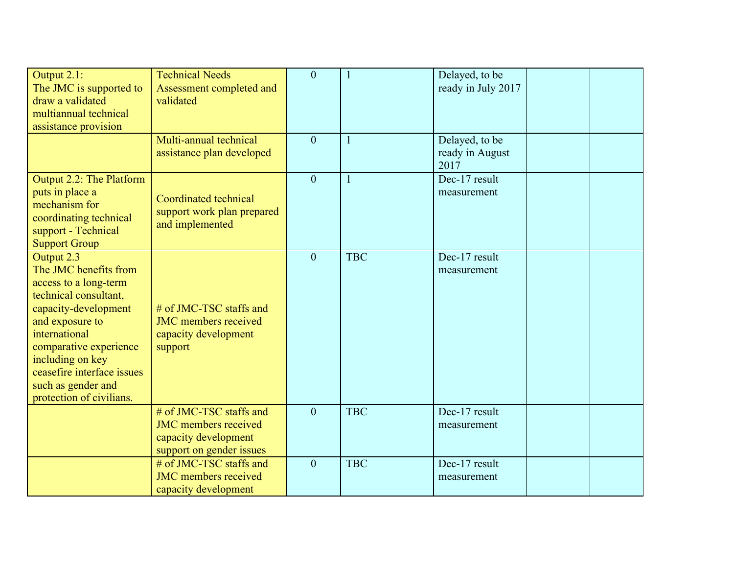| Output 2.1:<br>The JMC is supported to<br>draw a validated<br>multiannual technical<br>assistance provision                                                                                                                                                                     | <b>Technical Needs</b><br>Assessment completed and<br>validated                                            | $\theta$       | $\mathbf{1}$ | Delayed, to be<br>ready in July 2017      |  |
|---------------------------------------------------------------------------------------------------------------------------------------------------------------------------------------------------------------------------------------------------------------------------------|------------------------------------------------------------------------------------------------------------|----------------|--------------|-------------------------------------------|--|
|                                                                                                                                                                                                                                                                                 | Multi-annual technical<br>assistance plan developed                                                        | $\theta$       | $\mathbf{1}$ | Delayed, to be<br>ready in August<br>2017 |  |
| Output 2.2: The Platform<br>puts in place a<br>mechanism for<br>coordinating technical<br>support - Technical<br><b>Support Group</b>                                                                                                                                           | Coordinated technical<br>support work plan prepared<br>and implemented                                     | $\overline{0}$ | $\mathbf{1}$ | Dec-17 result<br>measurement              |  |
| Output 2.3<br>The JMC benefits from<br>access to a long-term<br>technical consultant,<br>capacity-development<br>and exposure to<br>international<br>comparative experience<br>including on key<br>ceasefire interface issues<br>such as gender and<br>protection of civilians. | # of JMC-TSC staffs and<br><b>JMC</b> members received<br>capacity development<br>support                  | $\theta$       | <b>TBC</b>   | Dec-17 result<br>measurement              |  |
|                                                                                                                                                                                                                                                                                 | # of JMC-TSC staffs and<br><b>JMC</b> members received<br>capacity development<br>support on gender issues | $\theta$       | <b>TBC</b>   | Dec-17 result<br>measurement              |  |
|                                                                                                                                                                                                                                                                                 | # of JMC-TSC staffs and<br><b>JMC</b> members received<br>capacity development                             | $\overline{0}$ | <b>TBC</b>   | Dec-17 result<br>measurement              |  |